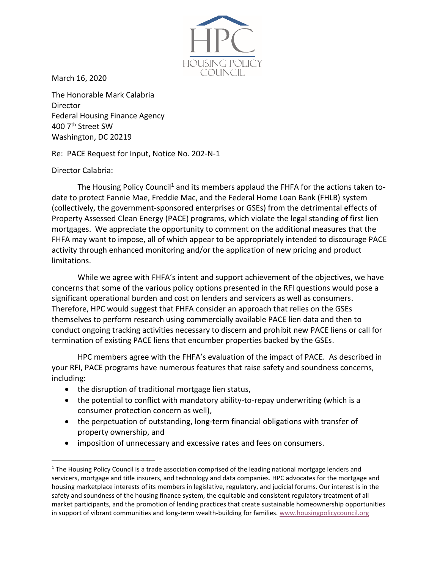

March 16, 2020

The Honorable Mark Calabria Director Federal Housing Finance Agency 400 7th Street SW Washington, DC 20219

Re: PACE Request for Input, Notice No. 202-N-1

Director Calabria:

The Housing Policy Council<sup>1</sup> and its members applaud the FHFA for the actions taken todate to protect Fannie Mae, Freddie Mac, and the Federal Home Loan Bank (FHLB) system (collectively, the government-sponsored enterprises or GSEs) from the detrimental effects of Property Assessed Clean Energy (PACE) programs, which violate the legal standing of first lien mortgages. We appreciate the opportunity to comment on the additional measures that the FHFA may want to impose, all of which appear to be appropriately intended to discourage PACE activity through enhanced monitoring and/or the application of new pricing and product limitations.

While we agree with FHFA's intent and support achievement of the objectives, we have concerns that some of the various policy options presented in the RFI questions would pose a significant operational burden and cost on lenders and servicers as well as consumers. Therefore, HPC would suggest that FHFA consider an approach that relies on the GSEs themselves to perform research using commercially available PACE lien data and then to conduct ongoing tracking activities necessary to discern and prohibit new PACE liens or call for termination of existing PACE liens that encumber properties backed by the GSEs.

HPC members agree with the FHFA's evaluation of the impact of PACE. As described in your RFI, PACE programs have numerous features that raise safety and soundness concerns, including:

- the disruption of traditional mortgage lien status,
- the potential to conflict with mandatory ability-to-repay underwriting (which is a consumer protection concern as well),
- the perpetuation of outstanding, long-term financial obligations with transfer of property ownership, and
- imposition of unnecessary and excessive rates and fees on consumers.

<sup>&</sup>lt;sup>1</sup> The Housing Policy Council is a trade association comprised of the leading national mortgage lenders and servicers, mortgage and title insurers, and technology and data companies. HPC advocates for the mortgage and housing marketplace interests of its members in legislative, regulatory, and judicial forums. Our interest is in the safety and soundness of the housing finance system, the equitable and consistent regulatory treatment of all market participants, and the promotion of lending practices that create sustainable homeownership opportunities in support of vibrant communities and long-term wealth-building for families. [www.housingpolicycouncil.org](http://www.housingpolicycouncil.org/)